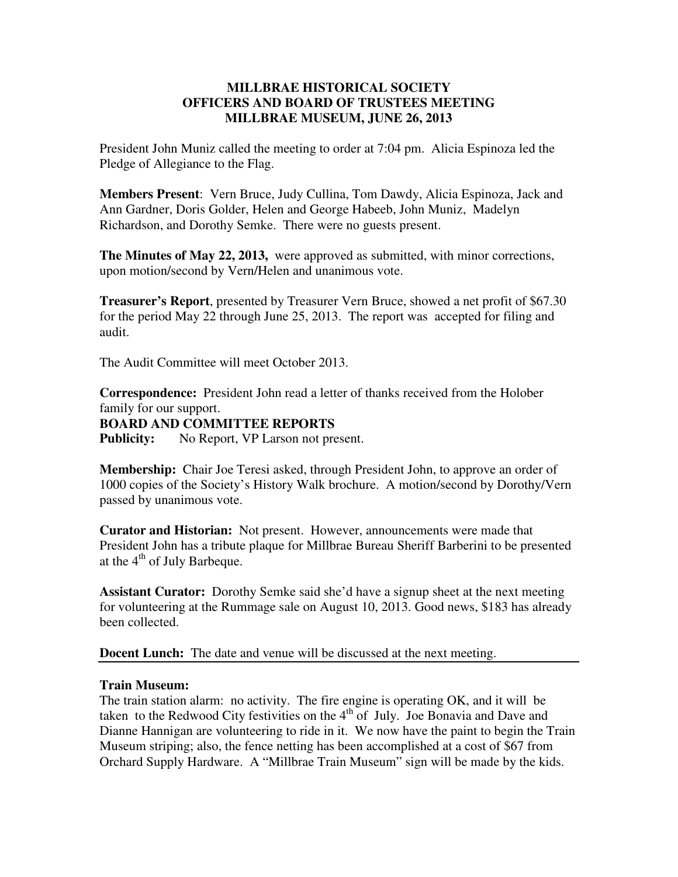## **MILLBRAE HISTORICAL SOCIETY OFFICERS AND BOARD OF TRUSTEES MEETING MILLBRAE MUSEUM, JUNE 26, 2013**

President John Muniz called the meeting to order at 7:04 pm. Alicia Espinoza led the Pledge of Allegiance to the Flag.

**Members Present**: Vern Bruce, Judy Cullina, Tom Dawdy, Alicia Espinoza, Jack and Ann Gardner, Doris Golder, Helen and George Habeeb, John Muniz, Madelyn Richardson, and Dorothy Semke. There were no guests present.

**The Minutes of May 22, 2013,** were approved as submitted, with minor corrections, upon motion/second by Vern/Helen and unanimous vote.

**Treasurer's Report**, presented by Treasurer Vern Bruce, showed a net profit of \$67.30 for the period May 22 through June 25, 2013. The report was accepted for filing and audit.

The Audit Committee will meet October 2013.

**Correspondence:** President John read a letter of thanks received from the Holober family for our support. **BOARD AND COMMITTEE REPORTS Publicity:** No Report, VP Larson not present.

**Membership:** Chair Joe Teresi asked, through President John, to approve an order of 1000 copies of the Society's History Walk brochure. A motion/second by Dorothy/Vern passed by unanimous vote.

**Curator and Historian:** Not present. However, announcements were made that President John has a tribute plaque for Millbrae Bureau Sheriff Barberini to be presented at the  $4<sup>th</sup>$  of July Barbeque.

**Assistant Curator:** Dorothy Semke said she'd have a signup sheet at the next meeting for volunteering at the Rummage sale on August 10, 2013. Good news, \$183 has already been collected.

**Docent Lunch:** The date and venue will be discussed at the next meeting.

## **Train Museum:**

The train station alarm: no activity. The fire engine is operating OK, and it will be taken to the Redwood City festivities on the  $4<sup>th</sup>$  of July. Joe Bonavia and Dave and Dianne Hannigan are volunteering to ride in it. We now have the paint to begin the Train Museum striping; also, the fence netting has been accomplished at a cost of \$67 from Orchard Supply Hardware. A "Millbrae Train Museum" sign will be made by the kids.